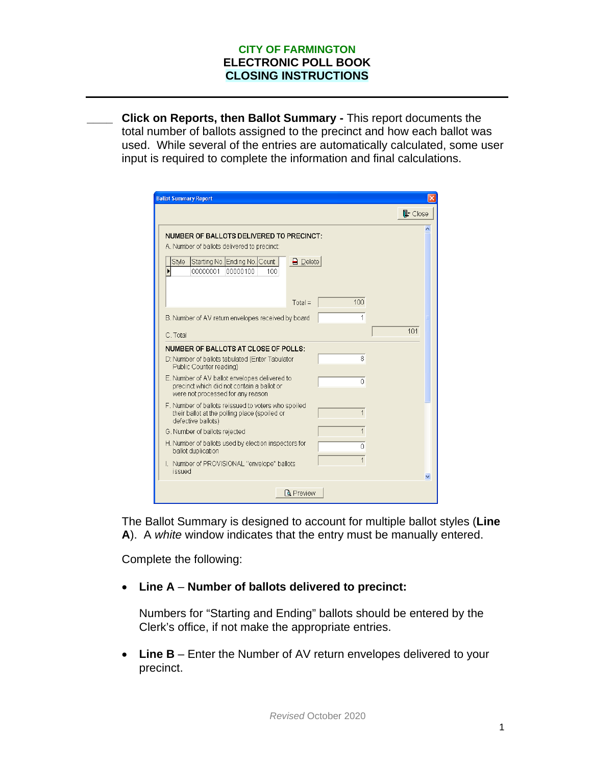#### **CITY OF FARMINGTON ELECTRONIC POLL BOOK CLOSING INSTRUCTIONS**

**\_\_\_\_ Click on Reports, then Ballot Summary -** This report documents the total number of ballots assigned to the precinct and how each ballot was used. While several of the entries are automatically calculated, some user input is required to complete the information and final calculations.

| <b>Ballot Summary Report</b>                                                                                                                                                                                  |                      |
|---------------------------------------------------------------------------------------------------------------------------------------------------------------------------------------------------------------|----------------------|
|                                                                                                                                                                                                               | $\mathbb{I}^*$ Close |
| NUMBER OF BALLOTS DELIVERED TO PRECINCT:<br>A. Number of ballots delivered to precinct:<br>Starting No. Ending No. Count<br>$\Box$ Delete<br>Style<br>$\overline{\phantom{0}}$<br>00000001<br>00000100<br>100 |                      |
| 100<br>$Total =$                                                                                                                                                                                              |                      |
| 1<br>B. Number of AV return envelopes received by board                                                                                                                                                       |                      |
| C. Total                                                                                                                                                                                                      | 101                  |
| NUMBER OF BALLOTS AT CLOSE OF POLLS:                                                                                                                                                                          |                      |
| 8<br>D: Number of ballots tabulated (Enter Tabulator<br>Public Counter reading)                                                                                                                               |                      |
| E. Number of AV ballot envelopes delivered to<br>0<br>precinct which did not contain a ballot or<br>were not processed for any reason                                                                         |                      |
| F. Number of ballots reissued to voters who spoiled<br>1<br>their ballot at the polling place (spoiled or<br>defective ballots)                                                                               |                      |
| $\mathbf 1$<br>G. Number of ballots rejected                                                                                                                                                                  |                      |
| H. Number of ballots used by election inspectors for<br>Ū<br>ballot duplication                                                                                                                               |                      |
| 1<br>I. Number of PROVISIONAL "envelope" ballots<br>issued                                                                                                                                                    |                      |
| <b>Q</b> Preview                                                                                                                                                                                              |                      |

The Ballot Summary is designed to account for multiple ballot styles (**Line A**). A *white* window indicates that the entry must be manually entered.

Complete the following:

• **Line A** – **Number of ballots delivered to precinct:**

Numbers for "Starting and Ending" ballots should be entered by the Clerk's office, if not make the appropriate entries.

• **Line B** – Enter the Number of AV return envelopes delivered to your precinct.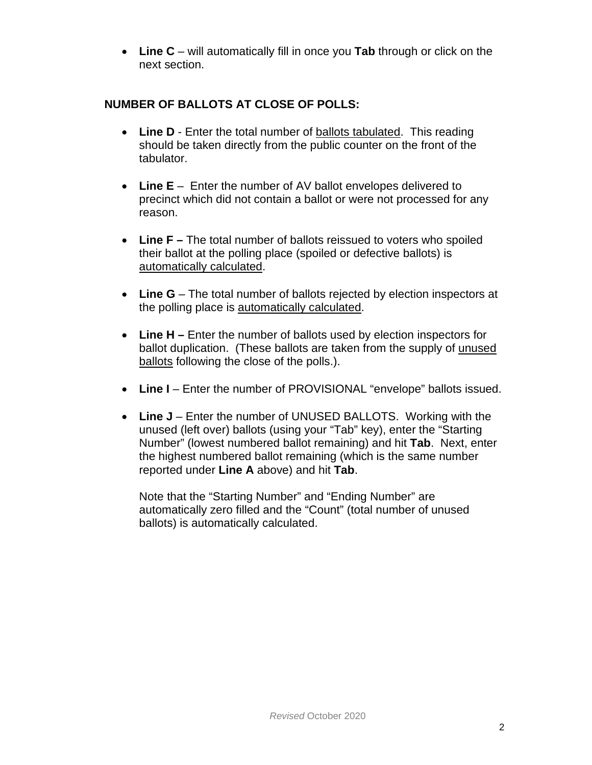• **Line C** – will automatically fill in once you **Tab** through or click on the next section.

# **NUMBER OF BALLOTS AT CLOSE OF POLLS:**

- Line **D** Enter the total number of ballots tabulated. This reading should be taken directly from the public counter on the front of the tabulator.
- **Line E** Enter the number of AV ballot envelopes delivered to precinct which did not contain a ballot or were not processed for any reason.
- **Line F –** The total number of ballots reissued to voters who spoiled their ballot at the polling place (spoiled or defective ballots) is automatically calculated.
- Line **G** The total number of ballots rejected by election inspectors at the polling place is automatically calculated.
- **Line H –** Enter the number of ballots used by election inspectors for ballot duplication. (These ballots are taken from the supply of unused ballots following the close of the polls.).
- Line I Enter the number of PROVISIONAL "envelope" ballots issued.
- Line  $J$  Enter the number of UNUSED BALLOTS. Working with the unused (left over) ballots (using your "Tab" key), enter the "Starting Number" (lowest numbered ballot remaining) and hit **Tab**. Next, enter the highest numbered ballot remaining (which is the same number reported under **Line A** above) and hit **Tab**.

Note that the "Starting Number" and "Ending Number" are automatically zero filled and the "Count" (total number of unused ballots) is automatically calculated.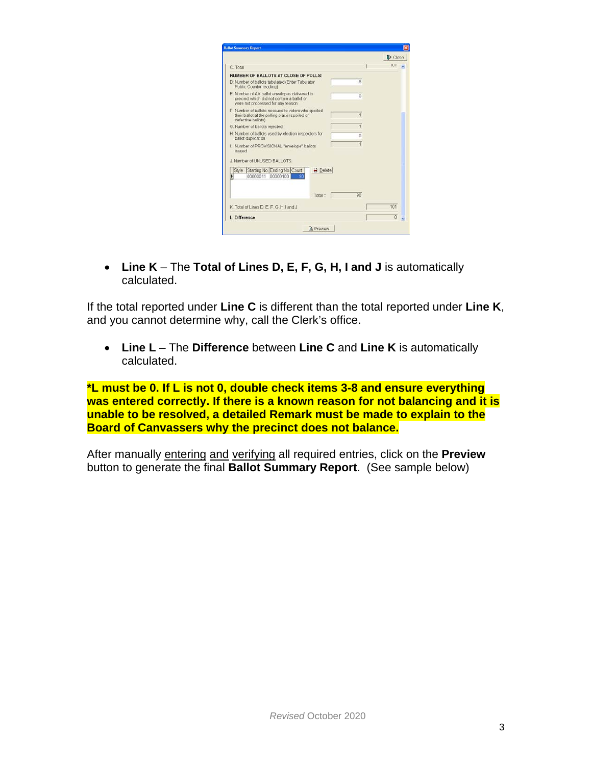| <b>Ballot Summary Report</b>                                                                                                     |                 |                              |
|----------------------------------------------------------------------------------------------------------------------------------|-----------------|------------------------------|
|                                                                                                                                  |                 | <b>IL</b> <sup>+</sup> Close |
| C. Total                                                                                                                         |                 | ग्रा                         |
| NUMBER OF BALLOTS AT CLOSE OF POLLS:                                                                                             |                 |                              |
| D: Number of ballots tabulated (Enter Tabulator<br>Public Counter reading)                                                       | $\mathbf{R}$    |                              |
| E. Number of AV ballot envelopes delivered to<br>precinct which did not contain a ballot or<br>were not processed for any reason | n               |                              |
| F. Number of ballots reissued to voters who spoiled<br>their ballot at the polling place (spoiled or<br>defective ballots)       | 1               |                              |
| G. Number of ballots rejected                                                                                                    | 1               |                              |
| H. Number of ballots used by election inspectors for<br>ballot duplication                                                       | Ö               |                              |
| I. Number of PROVISIONAL "envelope" ballots<br>issued                                                                            | 1               |                              |
| J. Number of UNUSED BALLOTS:                                                                                                     |                 |                              |
| $\Box$ Delete<br>Style<br>Starting No Ending No. Count<br>00000011<br>00000100<br>Ы<br>Яf                                        |                 |                              |
| $Total =$                                                                                                                        | 90 <sup>1</sup> |                              |
| K. Total of Lines D. E. F. G. H. I and J.                                                                                        |                 | 101                          |
| L. Difference                                                                                                                    |                 | $\Omega$                     |
| <b>Q</b> Preview                                                                                                                 |                 |                              |

• **Line K** – The **Total of Lines D, E, F, G, H, I and J** is automatically calculated.

If the total reported under **Line C** is different than the total reported under **Line K**, and you cannot determine why, call the Clerk's office.

• **Line L** – The **Difference** between **Line C** and **Line K** is automatically calculated.

**\*L must be 0. If L is not 0, double check items 3-8 and ensure everything was entered correctly. If there is a known reason for not balancing and it is unable to be resolved, a detailed Remark must be made to explain to the Board of Canvassers why the precinct does not balance.**

After manually entering and verifying all required entries, click on the **Preview** button to generate the final **Ballot Summary Report**. (See sample below)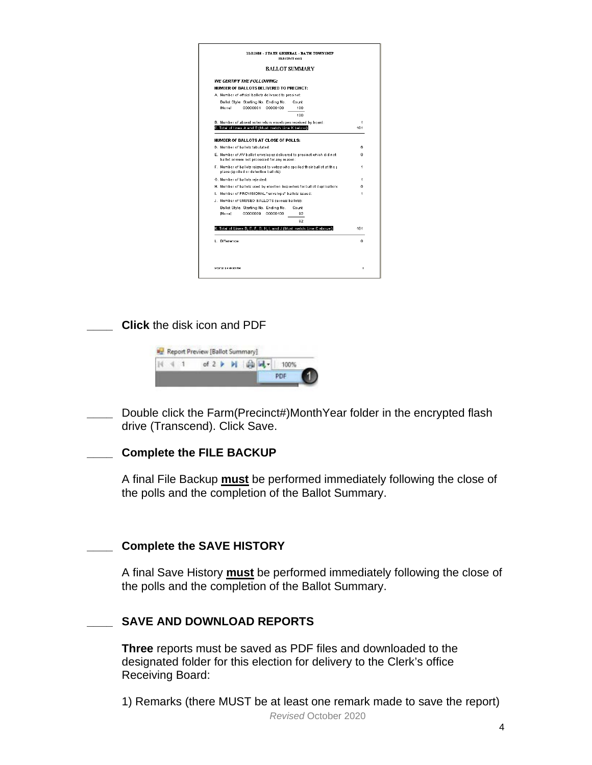|                                                                                                                      |                |                                                      | <b>BALLOT SUMMARY</b>                                                    |     |  |  |  |  |  |
|----------------------------------------------------------------------------------------------------------------------|----------------|------------------------------------------------------|--------------------------------------------------------------------------|-----|--|--|--|--|--|
|                                                                                                                      |                | WE CERTIFY THE FOLLOWING:                            |                                                                          |     |  |  |  |  |  |
|                                                                                                                      |                | NUMBER OF BALLOTS DELIVERED TO PRECINCT:             |                                                                          |     |  |  |  |  |  |
|                                                                                                                      |                | A. Number of offcial ballots delivered to precinct:  |                                                                          |     |  |  |  |  |  |
|                                                                                                                      |                | Ballot Style Starting No. Ending No.                 | Count                                                                    |     |  |  |  |  |  |
|                                                                                                                      | <b>Monel</b>   | 00000001<br>00000100                                 | 100                                                                      |     |  |  |  |  |  |
|                                                                                                                      |                |                                                      | 100                                                                      |     |  |  |  |  |  |
|                                                                                                                      |                |                                                      | B. Number of absent voter return envelopes received by board:            | 1   |  |  |  |  |  |
|                                                                                                                      |                | C. Total of lines A and B (Must match Line K below): |                                                                          | 101 |  |  |  |  |  |
|                                                                                                                      |                | NUMBER OF BALLOTS AT CLOSE OF POLLS:                 |                                                                          |     |  |  |  |  |  |
|                                                                                                                      |                | D. Number of ballots tabulated:                      |                                                                          | 6   |  |  |  |  |  |
| E. Number of AV ballot envelopes delivered to precinct which did not<br>ballot or were not processed for any reason: |                |                                                      |                                                                          | n.  |  |  |  |  |  |
| F. Number of ballots reissued to voters who spoiled their ballot at the r<br>place (spoiled or defective ballots):   |                |                                                      |                                                                          | 1   |  |  |  |  |  |
|                                                                                                                      |                | G. Number of ballots rejected:                       |                                                                          | 1   |  |  |  |  |  |
|                                                                                                                      |                |                                                      | H. Number of ballots used by election inspectors for ballot duplications | n   |  |  |  |  |  |
|                                                                                                                      |                | I. Number of PROVISIONAL "envelope" ballots issued:  |                                                                          | 1   |  |  |  |  |  |
|                                                                                                                      |                | J. Number of UNUSED BALLOTS (excess ballots):        |                                                                          |     |  |  |  |  |  |
|                                                                                                                      |                | Ballot Style Starting No. Ending No.                 | Count                                                                    |     |  |  |  |  |  |
|                                                                                                                      | <b>Monel</b>   | 00000009<br>00000100                                 | 92                                                                       |     |  |  |  |  |  |
|                                                                                                                      |                |                                                      | 92                                                                       |     |  |  |  |  |  |
|                                                                                                                      |                |                                                      | K. Total of Lines D. E. F. G. H. I. and J (Must match Line C above);     | 101 |  |  |  |  |  |
|                                                                                                                      |                |                                                      |                                                                          |     |  |  |  |  |  |
|                                                                                                                      | L. Difference: |                                                      |                                                                          | ٥   |  |  |  |  |  |
|                                                                                                                      |                |                                                      |                                                                          |     |  |  |  |  |  |

**\_\_\_\_ Click** the disk icon and PDF



**\_\_\_\_** Double click the Farm(Precinct#)MonthYear folder in the encrypted flash drive (Transcend). Click Save.

#### **\_\_\_\_ Complete the FILE BACKUP**

A final File Backup **must** be performed immediately following the close of the polls and the completion of the Ballot Summary.

#### **\_\_\_\_ Complete the SAVE HISTORY**

A final Save History **must** be performed immediately following the close of the polls and the completion of the Ballot Summary.

### **\_\_\_\_ SAVE AND DOWNLOAD REPORTS**

**Three** reports must be saved as PDF files and downloaded to the designated folder for this election for delivery to the Clerk's office Receiving Board:

*Revised* October 2020 1) Remarks (there MUST be at least one remark made to save the report)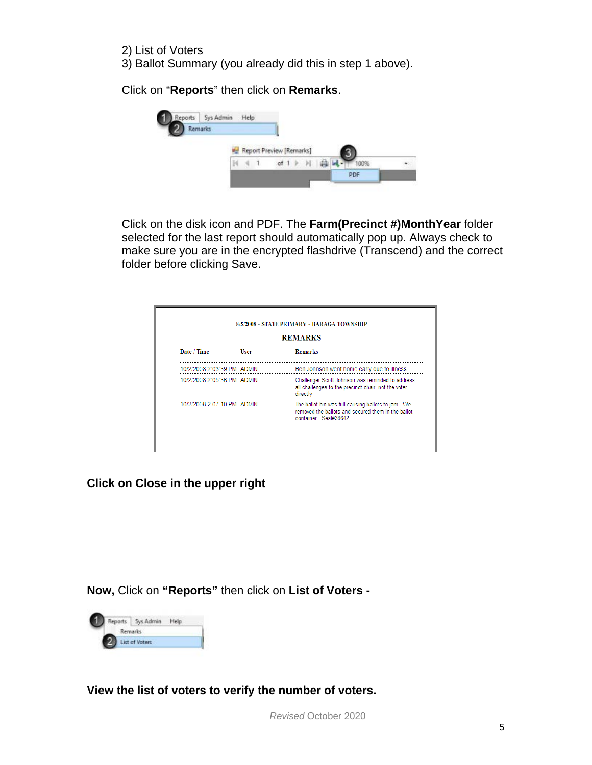2) List of Voters 3) Ballot Summary (you already did this in step 1 above).

Click on "**Reports**" then click on **Remarks**.



Click on the disk icon and PDF. The **Farm(Precinct #)MonthYear** folder selected for the last report should automatically pop up. Always check to make sure you are in the encrypted flashdrive (Transcend) and the correct folder before clicking Save.

| <b>REMARKS</b>             |             |                                                                                                                                   |  |  |  |
|----------------------------|-------------|-----------------------------------------------------------------------------------------------------------------------------------|--|--|--|
| Date / Time                | <b>User</b> | <b>Remarks</b>                                                                                                                    |  |  |  |
| 10/2/2008 2:03:39 PM ADMIN |             | Ben Johnson went home early due to illness.                                                                                       |  |  |  |
| 10/2/2008 2:05:36 PM ADMIN |             | Challenger Scott Johnson was reminded to address<br>all challenges to the precinct chair, not the voter<br>directly.              |  |  |  |
| 10/2/2008 2:07:10 PM ADMIN |             | The ballot bin was full causing ballots to jam. We<br>removed the ballots and secured them in the ballot<br>container. Seal#38642 |  |  |  |

**Click on Close in the upper right**

**Now,** Click on **"Reports"** then click on **List of Voters -**



**View the list of voters to verify the number of voters.**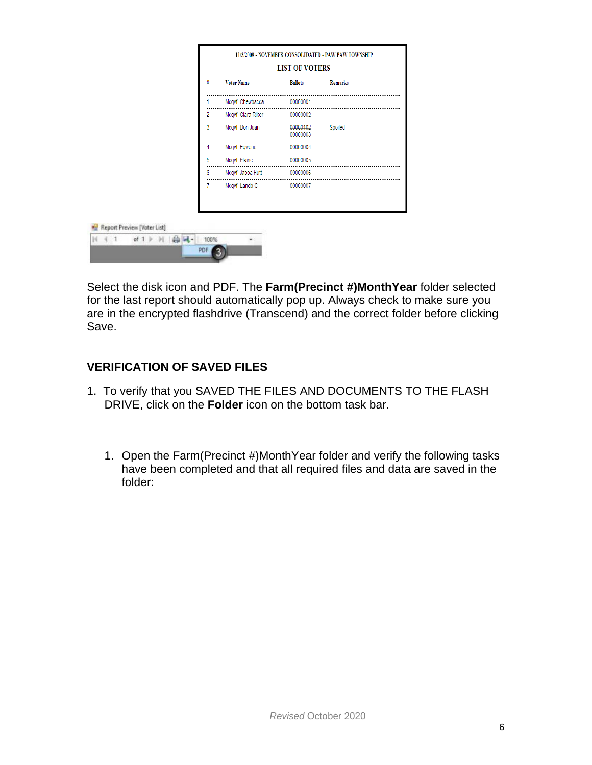|   | 11/3/2009 - NOVEMBER CONSOLIDATED - PAW PAW TOWNSHIP |                       |                |  |  |
|---|------------------------------------------------------|-----------------------|----------------|--|--|
|   |                                                      | <b>LIST OF VOTERS</b> |                |  |  |
| # | <b>Voter Name</b>                                    | <b>Ballots</b>        | <b>Remarks</b> |  |  |
|   | Mcqvf, Chewbacca 00000001                            |                       |                |  |  |
| 2 | Mcqvf, Clara Riker 00000002                          |                       |                |  |  |
| 3 |                                                      | 00000003              |                |  |  |
| 4 | Mcqvf, Egwene                                        | 00000004              |                |  |  |
| 5 | Mcqvf, Elaine 00000005                               |                       |                |  |  |
| 6 | Mcqvf, Jabba Hutt 00000006                           |                       |                |  |  |
|   | Mcqvf, Lando C 00000007                              |                       |                |  |  |

PDF 3

Select the disk icon and PDF. The **Farm(Precinct #)MonthYear** folder selected for the last report should automatically pop up. Always check to make sure you are in the encrypted flashdrive (Transcend) and the correct folder before clicking Save.

## **VERIFICATION OF SAVED FILES**

- 1. To verify that you SAVED THE FILES AND DOCUMENTS TO THE FLASH DRIVE, click on the **Folder** icon on the bottom task bar.
	- 1. Open the Farm(Precinct #)MonthYear folder and verify the following tasks have been completed and that all required files and data are saved in the folder: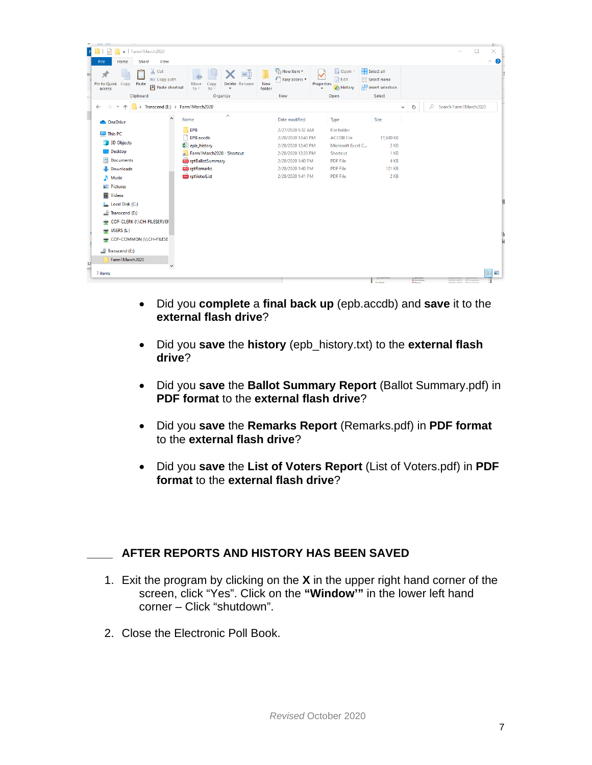| <b>Contract Contract</b><br>Farm1March2020<br>$\overline{\mathbf{v}}$                                                                                                   |                                                                                                                                                          |                                                                                                                                                    |                                                                                                                            |                                                         |                         | X<br>□                                 |
|-------------------------------------------------------------------------------------------------------------------------------------------------------------------------|----------------------------------------------------------------------------------------------------------------------------------------------------------|----------------------------------------------------------------------------------------------------------------------------------------------------|----------------------------------------------------------------------------------------------------------------------------|---------------------------------------------------------|-------------------------|----------------------------------------|
| Share<br>View<br>File<br>Home                                                                                                                                           |                                                                                                                                                          |                                                                                                                                                    |                                                                                                                            |                                                         |                         | $\hat{\phantom{a}}$                    |
| $\chi$ Cut<br><b>W</b> Copy path<br>Pin to Quick Copy<br>Paste<br><b>F</b> Paste shortcut<br>access                                                                     | ch<br>Delete Rename<br>Move<br>Copy<br>$to -$<br>to.<br>٠                                                                                                | New item -<br>F <sup>1</sup> Easy access *<br>New<br>folder                                                                                        | Dpen *<br>$\triangleright$ Edit<br>Properties<br><b>A</b> History                                                          | Select all<br><b>Select none</b><br><b>Relation</b>     |                         |                                        |
| Clipboard                                                                                                                                                               | Organize                                                                                                                                                 | New                                                                                                                                                | Open                                                                                                                       | Select                                                  |                         |                                        |
| $\rightarrow$                                                                                                                                                           | Transcend (E:) > Farm1March2020                                                                                                                          |                                                                                                                                                    |                                                                                                                            | $\checkmark$                                            | Ō                       | Search Farm1March2020<br>$\circ$       |
| $\wedge$<br><b>ConeDrive</b>                                                                                                                                            | $\hat{\phantom{a}}$<br>Name                                                                                                                              | Date modified                                                                                                                                      | Type                                                                                                                       | Size                                                    |                         |                                        |
| $\Box$ This PC<br>3D Objects<br>$\Box$ Desktop<br>Documents<br>Downloads<br>Music<br><b>Pictures</b><br><b>  </b> Videos<br><b>EL</b> Local Disk (C:)<br>Transcend (E:) | <b>EPB</b><br>EPB.accdb<br>图a epb_history<br>Farm1March2020 - Shortcut<br><b>Por</b> rptBallotSummary<br><b>Dog</b> rptRemarks<br><b>DO</b> rptVoterList | 2/27/2020 9:32 AM<br>2/28/2020 12:40 PM<br>2/28/2020 12:40 PM<br>2/28/2020 12:39 PM<br>2/28/2020 1:40 PM<br>2/28/2020 1:40 PM<br>2/28/2020 1:41 PM | File folder<br><b>ACCDB File</b><br>Microsoft Excel C<br>Shortcut<br><b>PDF File</b><br><b>PDF File</b><br><b>PDF File</b> | 17,680 KB<br>$2$ KB<br>1 KB<br>4 KB<br>121 KB<br>$2$ KB |                         |                                        |
| COF-CLERK (\\CH-FILESERVEF                                                                                                                                              |                                                                                                                                                          |                                                                                                                                                    |                                                                                                                            |                                                         |                         |                                        |
| $\equiv$ USERS (L:)                                                                                                                                                     |                                                                                                                                                          |                                                                                                                                                    |                                                                                                                            |                                                         |                         |                                        |
| COF-COMMON (NCH-FILESE<br>Transcend (E:)                                                                                                                                |                                                                                                                                                          |                                                                                                                                                    |                                                                                                                            |                                                         |                         |                                        |
| Farm1March2020                                                                                                                                                          |                                                                                                                                                          |                                                                                                                                                    |                                                                                                                            |                                                         |                         |                                        |
|                                                                                                                                                                         |                                                                                                                                                          |                                                                                                                                                    |                                                                                                                            |                                                         |                         |                                        |
| 7 items                                                                                                                                                                 |                                                                                                                                                          |                                                                                                                                                    |                                                                                                                            |                                                         | <b>SE List of Virte</b> | 胆固<br>9/20/2010 2:06 PM PCF Complete D |

- Did you **complete** a **final back up** (epb.accdb) and **save** it to the **external flash drive**?
- Did you **save** the **history** (epb\_history.txt) to the **external flash drive**?
- Did you **save** the **Ballot Summary Report** (Ballot Summary.pdf) in **PDF format** to the **external flash drive**?
- Did you **save** the **Remarks Report** (Remarks.pdf) in **PDF format** to the **external flash drive**?
- Did you **save** the **List of Voters Report** (List of Voters.pdf) in **PDF format** to the **external flash drive**?

## **\_\_\_\_ AFTER REPORTS AND HISTORY HAS BEEN SAVED**

- 1. Exit the program by clicking on the **X** in the upper right hand corner of the screen, click "Yes". Click on the **"Window'"** in the lower left hand corner – Click "shutdown".
- 2. Close the Electronic Poll Book.